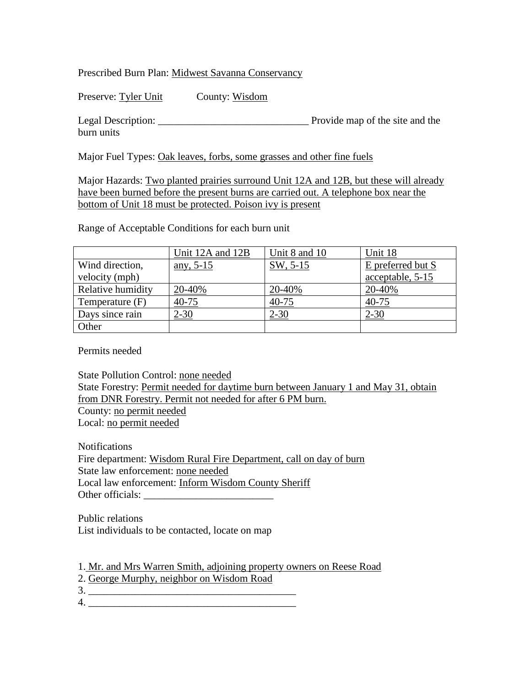Prescribed Burn Plan: Midwest Savanna Conservancy

Preserve: Tyler Unit County: Wisdom

Legal Description: \_\_\_\_\_\_\_\_\_\_\_\_\_\_\_\_\_\_\_\_\_\_\_\_\_\_\_\_\_ Provide map of the site and the burn units

Major Fuel Types: Oak leaves, forbs, some grasses and other fine fuels

Major Hazards: Two planted prairies surround Unit 12A and 12B, but these will already have been burned before the present burns are carried out. A telephone box near the bottom of Unit 18 must be protected. Poison ivy is present

Range of Acceptable Conditions for each burn unit

|                   | Unit 12A and 12B | Unit 8 and 10 | Unit 18           |
|-------------------|------------------|---------------|-------------------|
| Wind direction,   | any, $5-15$      | SW, 5-15      | E preferred but S |
| velocity (mph)    |                  |               | acceptable, 5-15  |
| Relative humidity | 20-40%           | 20-40%        | 20-40%            |
| Temperature (F)   | 40-75            | 40-75         | $40 - 75$         |
| Days since rain   | $2 - 30$         | $2 - 30$      | $2 - 30$          |
| Other             |                  |               |                   |

Permits needed

State Pollution Control: none needed State Forestry: Permit needed for daytime burn between January 1 and May 31, obtain from DNR Forestry. Permit not needed for after 6 PM burn. County: no permit needed Local: no permit needed

Notifications Fire department: Wisdom Rural Fire Department, call on day of burn State law enforcement: none needed Local law enforcement: Inform Wisdom County Sheriff Other officials: \_\_\_\_\_\_\_\_\_\_\_\_\_\_\_\_\_\_\_\_\_\_\_\_\_

Public relations List individuals to be contacted, locate on map

1. Mr. and Mrs Warren Smith, adjoining property owners on Reese Road

2. George Murphy, neighbor on Wisdom Road

3. \_\_\_\_\_\_\_\_\_\_\_\_\_\_\_\_\_\_\_\_\_\_\_\_\_\_\_\_\_\_\_\_\_\_\_\_\_\_\_\_

 $4.$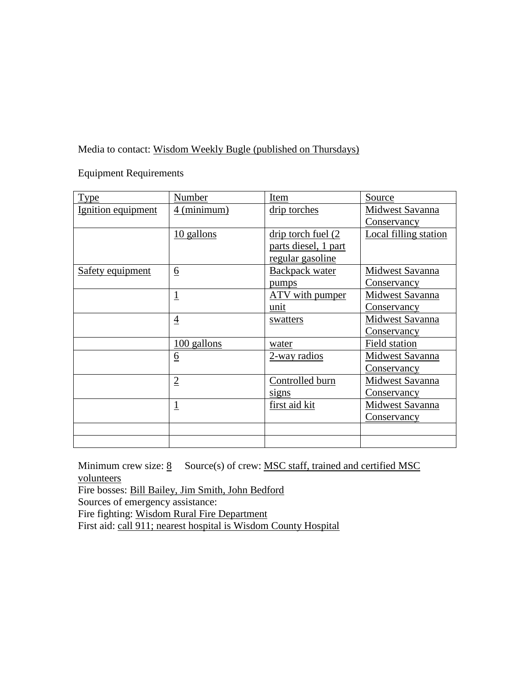Media to contact: Wisdom Weekly Bugle (published on Thursdays)

Equipment Requirements

| <b>Type</b>        | Number          | Item                  | Source                 |
|--------------------|-----------------|-----------------------|------------------------|
| Ignition equipment | 4 (minimum)     | drip torches          | Midwest Savanna        |
|                    |                 |                       | Conservancy            |
|                    | 10 gallons      | drip torch fuel (2)   | Local filling station  |
|                    |                 | parts diesel, 1 part  |                        |
|                    |                 | regular gasoline      |                        |
| Safety equipment   | $\underline{6}$ | <b>Backpack water</b> | Midwest Savanna        |
|                    |                 | <u>pumps</u>          | <u>Conservancy</u>     |
|                    | $\overline{1}$  | ATV with pumper       | Midwest Savanna        |
|                    |                 | unit                  | <b>Conservancy</b>     |
|                    | $\overline{4}$  | swatters              | Midwest Savanna        |
|                    |                 |                       | <u>Conservancy</u>     |
|                    | 100 gallons     | water                 | Field station          |
|                    | <u>6</u>        | 2-way radios          | <b>Midwest Savanna</b> |
|                    |                 |                       | <u>Conservancy</u>     |
|                    | $\overline{2}$  | Controlled burn       | Midwest Savanna        |
|                    |                 | signs                 | <u>Conservancy</u>     |
|                    | $\overline{1}$  | first aid kit         | <b>Midwest Savanna</b> |
|                    |                 |                       | Conservancy            |
|                    |                 |                       |                        |
|                    |                 |                       |                        |

Minimum crew size:  $\underline{8}$  Source(s) of crew: MSC staff, trained and certified MSC volunteers

Fire bosses: Bill Bailey, Jim Smith, John Bedford

Sources of emergency assistance:

Fire fighting: Wisdom Rural Fire Department

First aid: call 911; nearest hospital is Wisdom County Hospital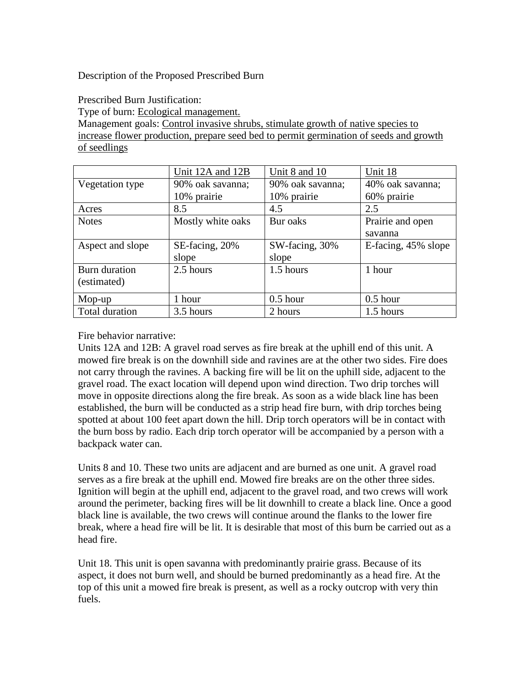Description of the Proposed Prescribed Burn

Prescribed Burn Justification:

Type of burn: Ecological management.

Management goals: Control invasive shrubs, stimulate growth of native species to increase flower production, prepare seed bed to permit germination of seeds and growth of seedlings

|                  | Unit 12A and 12B  | Unit 8 and 10    | Unit 18             |
|------------------|-------------------|------------------|---------------------|
| Vegetation type  | 90% oak savanna;  | 90% oak savanna; | 40% oak savanna;    |
|                  | 10% prairie       | 10% prairie      | 60% prairie         |
| Acres            | 8.5               | 4.5              | 2.5                 |
| <b>Notes</b>     | Mostly white oaks | Bur oaks         | Prairie and open    |
|                  |                   |                  | savanna             |
| Aspect and slope | SE-facing, 20%    | SW-facing, 30%   | E-facing, 45% slope |
|                  | slope             | slope            |                     |
| Burn duration    | 2.5 hours         | 1.5 hours        | 1 hour              |
| (estimated)      |                   |                  |                     |
| Mop-up           | 1 hour            | $0.5$ hour       | $0.5$ hour          |
| Total duration   | 3.5 hours         | 2 hours          | 1.5 hours           |

Fire behavior narrative:

Units 12A and 12B: A gravel road serves as fire break at the uphill end of this unit. A mowed fire break is on the downhill side and ravines are at the other two sides. Fire does not carry through the ravines. A backing fire will be lit on the uphill side, adjacent to the gravel road. The exact location will depend upon wind direction. Two drip torches will move in opposite directions along the fire break. As soon as a wide black line has been established, the burn will be conducted as a strip head fire burn, with drip torches being spotted at about 100 feet apart down the hill. Drip torch operators will be in contact with the burn boss by radio. Each drip torch operator will be accompanied by a person with a backpack water can.

Units 8 and 10. These two units are adjacent and are burned as one unit. A gravel road serves as a fire break at the uphill end. Mowed fire breaks are on the other three sides. Ignition will begin at the uphill end, adjacent to the gravel road, and two crews will work around the perimeter, backing fires will be lit downhill to create a black line. Once a good black line is available, the two crews will continue around the flanks to the lower fire break, where a head fire will be lit. It is desirable that most of this burn be carried out as a head fire.

Unit 18. This unit is open savanna with predominantly prairie grass. Because of its aspect, it does not burn well, and should be burned predominantly as a head fire. At the top of this unit a mowed fire break is present, as well as a rocky outcrop with very thin fuels.